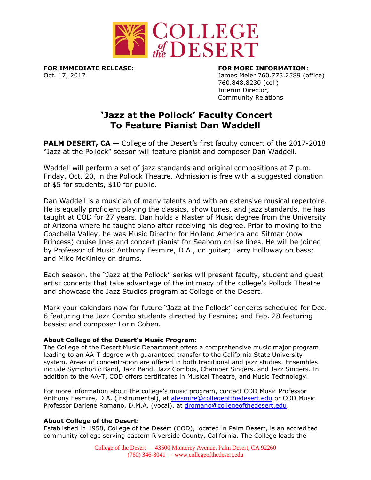

**FOR IMMEDIATE RELEASE: FOR MORE INFORMATION**:

Oct. 17, 2017 James Meier 760.773.2589 (office) 760.848.8230 (cell) Interim Director, Community Relations

## **'Jazz at the Pollock' Faculty Concert To Feature Pianist Dan Waddell**

**PALM DESERT, CA** – College of the Desert's first faculty concert of the 2017-2018 "Jazz at the Pollock" season will feature pianist and composer Dan Waddell.

Waddell will perform a set of jazz standards and original compositions at 7 p.m. Friday, Oct. 20, in the Pollock Theatre. Admission is free with a suggested donation of \$5 for students, \$10 for public.

Dan Waddell is a musician of many talents and with an extensive musical repertoire. He is equally proficient playing the classics, show tunes, and jazz standards. He has taught at COD for 27 years. Dan holds a Master of Music degree from the University of Arizona where he taught piano after receiving his degree. Prior to moving to the Coachella Valley, he was Music Director for Holland America and Sitmar (now Princess) cruise lines and concert pianist for Seaborn cruise lines. He will be joined by Professor of Music Anthony Fesmire, D.A., on guitar; Larry Holloway on bass; and Mike McKinley on drums.

Each season, the "Jazz at the Pollock" series will present faculty, student and guest artist concerts that take advantage of the intimacy of the college's Pollock Theatre and showcase the Jazz Studies program at College of the Desert.

Mark your calendars now for future "Jazz at the Pollock" concerts scheduled for Dec. 6 featuring the Jazz Combo students directed by Fesmire; and Feb. 28 featuring bassist and composer Lorin Cohen.

## **About College of the Desert's Music Program:**

The College of the Desert Music Department offers a comprehensive music major program leading to an AA-T degree with guaranteed transfer to the California State University system. Areas of concentration are offered in both traditional and jazz studies. Ensembles include Symphonic Band, Jazz Band, Jazz Combos, Chamber Singers, and Jazz Singers. In addition to the AA-T, COD offers certificates in Musical Theatre, and Music Technology.

For more information about the college's music program, contact COD Music Professor Anthony Fesmire, D.A. (instrumental), at [afesmire@collegeofthedesert.edu](mailto:afesmire@collegeofthedesert.edu) or COD Music Professor Darlene Romano, D.M.A. (vocal), at [dromano@collegeofthedesert.edu.](mailto:dromano@collegeofthedesert.edu)

## **About College of the Desert:**

Established in 1958, College of the Desert (COD), located in Palm Desert, is an accredited community college serving eastern Riverside County, California. The College leads the